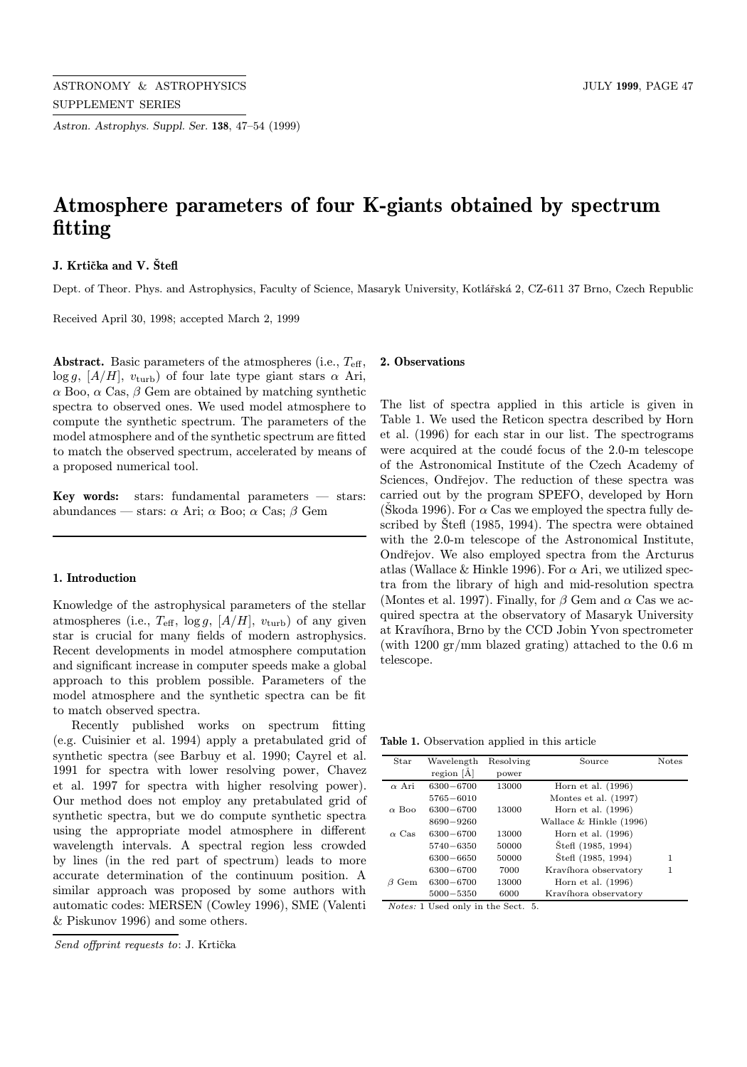Astron. Astrophys. Suppl. Ser. 138, 47–54 (1999)

# Atmosphere parameters of four K-giants obtained by spectrum fitting

# J. Krtička and V. Štefl

Dept. of Theor. Phys. and Astrophysics, Faculty of Science, Masaryk University, Kotlářská 2, CZ-611 37 Brno, Czech Republic

Received April 30, 1998; accepted March 2, 1999

**Abstract.** Basic parameters of the atmospheres (i.e.,  $T_{\text{eff}}$ ,  $\log q$ ,  $[A/H]$ ,  $v_{\text{turb}}$ ) of four late type giant stars  $\alpha$  Ari, α Boo, α Cas, β Gem are obtained by matching synthetic spectra to observed ones. We used model atmosphere to compute the synthetic spectrum. The parameters of the model atmosphere and of the synthetic spectrum are fitted to match the observed spectrum, accelerated by means of a proposed numerical tool.

**Key words:** stars: fundamental parameters  $-$  stars: abundances — stars:  $\alpha$  Ari;  $\alpha$  Boo;  $\alpha$  Cas;  $\beta$  Gem

# 1. Introduction

Knowledge of the astrophysical parameters of the stellar atmospheres (i.e.,  $T_{\text{eff}}$ ,  $\log g$ ,  $[A/H]$ ,  $v_{\text{turb}}$ ) of any given star is crucial for many fields of modern astrophysics. Recent developments in model atmosphere computation and significant increase in computer speeds make a global approach to this problem possible. Parameters of the model atmosphere and the synthetic spectra can be fit to match observed spectra.

Recently published works on spectrum fitting (e.g. Cuisinier et al. 1994) apply a pretabulated grid of synthetic spectra (see Barbuy et al. 1990; Cayrel et al. 1991 for spectra with lower resolving power, Chavez et al. 1997 for spectra with higher resolving power). Our method does not employ any pretabulated grid of synthetic spectra, but we do compute synthetic spectra using the appropriate model atmosphere in different wavelength intervals. A spectral region less crowded by lines (in the red part of spectrum) leads to more accurate determination of the continuum position. A similar approach was proposed by some authors with automatic codes: MERSEN (Cowley 1996), SME (Valenti & Piskunov 1996) and some others.

# 2. Observations

The list of spectra applied in this article is given in Table 1. We used the Reticon spectra described by Horn et al. (1996) for each star in our list. The spectrograms were acquired at the coudé focus of the 2.0-m telescope of the Astronomical Institute of the Czech Academy of Sciences, Ondřejov. The reduction of these spectra was carried out by the program SPEFO, developed by Horn (Škoda 1996). For  $\alpha$  Cas we employed the spectra fully described by  $\text{\r{S}teff}$  (1985, 1994). The spectra were obtained with the 2.0-m telescope of the Astronomical Institute, Ondřejov. We also employed spectra from the Arcturus atlas (Wallace & Hinkle 1996). For  $\alpha$  Ari, we utilized spectra from the library of high and mid-resolution spectra (Montes et al. 1997). Finally, for  $\beta$  Gem and  $\alpha$  Cas we acquired spectra at the observatory of Masaryk University at Kravíhora, Brno by the CCD Jobin Yvon spectrometer (with 1200 gr/mm blazed grating) attached to the 0.6 m telescope.

Table 1. Observation applied in this article

| Star         | Wavelength    | Resolving | Source                  | <b>Notes</b> |
|--------------|---------------|-----------|-------------------------|--------------|
|              | region $[A]$  | power     |                         |              |
| $\alpha$ Ari | 6300-6700     | 13000     | Horn et al. $(1996)$    |              |
|              | $5765 - 6010$ |           | Montes et al. $(1997)$  |              |
| $\alpha$ Boo | 6300-6700     | 13000     | Horn et al. $(1996)$    |              |
|              | 8690-9260     |           | Wallace & Hinkle (1996) |              |
| $\alpha$ Cas | 6300-6700     | 13000     | Horn et al. $(1996)$    |              |
|              | $5740 - 6350$ | 50000     | Stefl (1985, 1994)      |              |
|              | 6300-6650     | 50000     | Stefl (1985, 1994)      | 1            |
|              | 6300-6700     | 7000      | Kravíhora observatory   | 1            |
| Gem          | 6300-6700     | 13000     | Horn et al. $(1996)$    |              |
|              | 5000-5350     | 6000      | Kravíhora observatory   |              |

Notes: 1 Used only in the Sect. 5.

Send offprint requests to: J. Krtička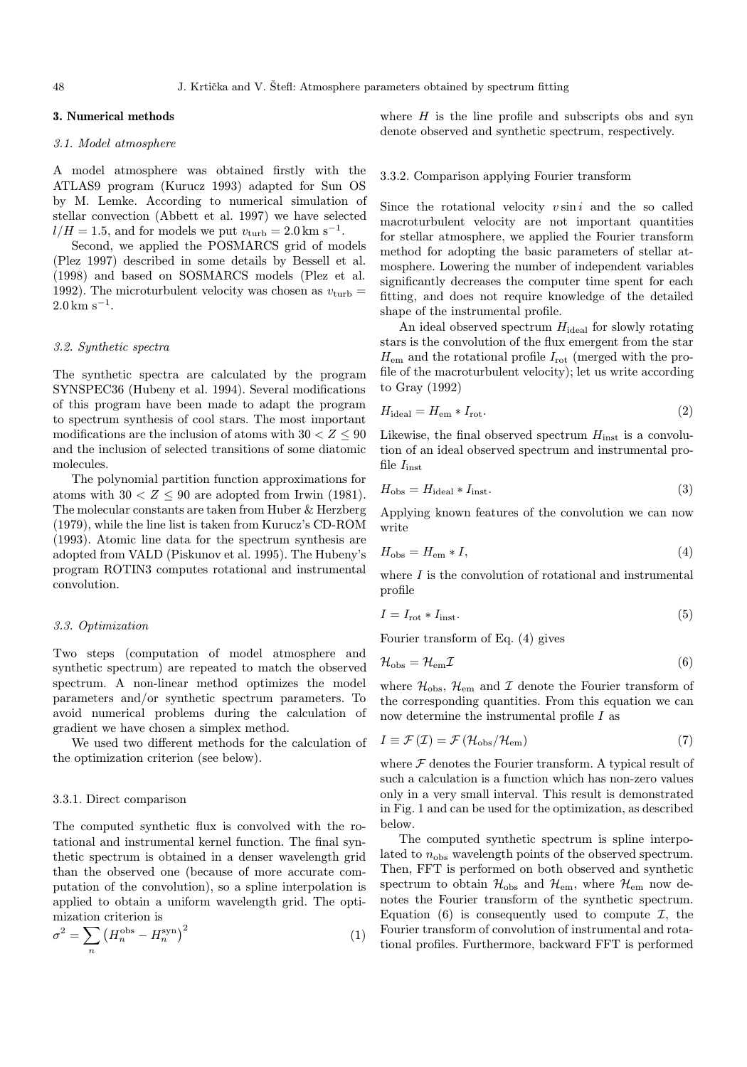# 3. Numerical methods

# 3.1. Model atmosphere

A model atmosphere was obtained firstly with the ATLAS9 program (Kurucz 1993) adapted for Sun OS by M. Lemke. According to numerical simulation of stellar convection (Abbett et al. 1997) we have selected  $l/H = 1.5$ , and for models we put  $v_{\text{turb}} = 2.0 \text{ km s}^{-1}$ .

Second, we applied the POSMARCS grid of models (Plez 1997) described in some details by Bessell et al. (1998) and based on SOSMARCS models (Plez et al. 1992). The microturbulent velocity was chosen as  $v_{\text{turb}} =$  $2.0 \text{ km s}^{-1}$ .

## 3.2. Synthetic spectra

The synthetic spectra are calculated by the program SYNSPEC36 (Hubeny et al. 1994). Several modifications of this program have been made to adapt the program to spectrum synthesis of cool stars. The most important modifications are the inclusion of atoms with  $30 < Z < 90$ and the inclusion of selected transitions of some diatomic molecules.

The polynomial partition function approximations for atoms with  $30 < Z \leq 90$  are adopted from Irwin (1981). The molecular constants are taken from Huber & Herzberg (1979), while the line list is taken from Kurucz's CD-ROM (1993). Atomic line data for the spectrum synthesis are adopted from VALD (Piskunov et al. 1995). The Hubeny's program ROTIN3 computes rotational and instrumental convolution.

# 3.3. Optimization

Two steps (computation of model atmosphere and synthetic spectrum) are repeated to match the observed spectrum. A non-linear method optimizes the model parameters and/or synthetic spectrum parameters. To avoid numerical problems during the calculation of gradient we have chosen a simplex method.

We used two different methods for the calculation of the optimization criterion (see below).

# 3.3.1. Direct comparison

The computed synthetic flux is convolved with the rotational and instrumental kernel function. The final synthetic spectrum is obtained in a denser wavelength grid than the observed one (because of more accurate computation of the convolution), so a spline interpolation is applied to obtain a uniform wavelength grid. The optimization criterion is

$$
\sigma^2 = \sum_n \left( H_n^{\text{obs}} - H_n^{\text{syn}} \right)^2 \tag{1}
$$

where  $H$  is the line profile and subscripts obs and syn denote observed and synthetic spectrum, respectively.

#### 3.3.2. Comparison applying Fourier transform

Since the rotational velocity  $v \sin i$  and the so called macroturbulent velocity are not important quantities for stellar atmosphere, we applied the Fourier transform method for adopting the basic parameters of stellar atmosphere. Lowering the number of independent variables significantly decreases the computer time spent for each fitting, and does not require knowledge of the detailed shape of the instrumental profile.

An ideal observed spectrum  $H_{\text{ideal}}$  for slowly rotating stars is the convolution of the flux emergent from the star  $H_{\text{em}}$  and the rotational profile  $I_{\text{rot}}$  (merged with the profile of the macroturbulent velocity); let us write according to Gray (1992)

$$
H_{\text{ideal}} = H_{\text{em}} * I_{\text{rot}}.\tag{2}
$$

Likewise, the final observed spectrum  $H_{\text{inst}}$  is a convolution of an ideal observed spectrum and instrumental profile  $I_{\text{inst}}$ 

$$
H_{\rm obs} = H_{\rm ideal} * I_{\rm inst}.\tag{3}
$$

Applying known features of the convolution we can now write

$$
H_{\rm obs} = H_{\rm em} * I,\tag{4}
$$

where  $I$  is the convolution of rotational and instrumental profile

$$
I = I_{\rm rot} * I_{\rm inst}.\tag{5}
$$

Fourier transform of Eq. (4) gives

$$
\mathcal{H}_{\rm obs} = \mathcal{H}_{\rm em} \mathcal{I} \tag{6}
$$

where  $\mathcal{H}_{\rm obs},\,\mathcal{H}_{\rm em}$  and  $\mathcal I$  denote the Fourier transform of the corresponding quantities. From this equation we can now determine the instrumental profile  $I$  as

$$
I \equiv \mathcal{F}\left(\mathcal{I}\right) = \mathcal{F}\left(\mathcal{H}_{\rm obs}/\mathcal{H}_{\rm em}\right) \tag{7}
$$

where  $\mathcal F$  denotes the Fourier transform. A typical result of such a calculation is a function which has non-zero values only in a very small interval. This result is demonstrated in Fig. 1 and can be used for the optimization, as described below.

The computed synthetic spectrum is spline interpolated to  $n_{\text{obs}}$  wavelength points of the observed spectrum. Then, FFT is performed on both observed and synthetic spectrum to obtain  $\mathcal{H}_{obs}$  and  $\mathcal{H}_{em}$ , where  $\mathcal{H}_{em}$  now denotes the Fourier transform of the synthetic spectrum. Equation (6) is consequently used to compute  $\mathcal{I}$ , the Fourier transform of convolution of instrumental and rotational profiles. Furthermore, backward FFT is performed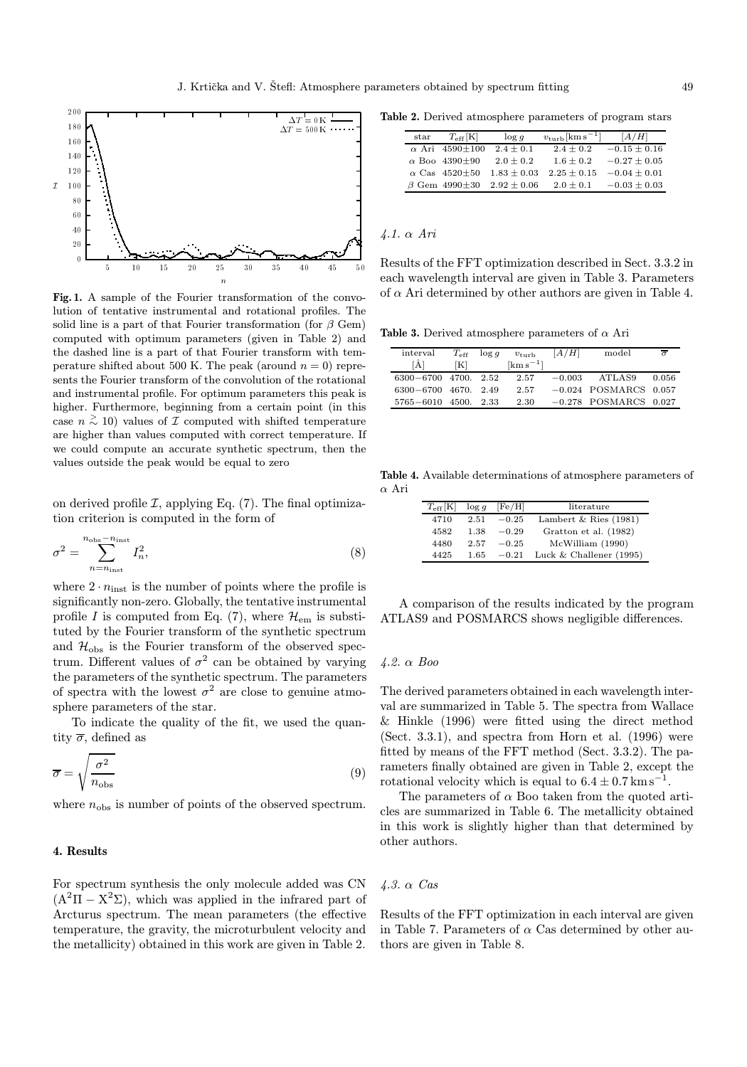

Fig. 1. A sample of the Fourier transformation of the convolution of tentative instrumental and rotational profiles. The solid line is a part of that Fourier transformation (for  $\beta$  Gem) computed with optimum parameters (given in Table 2) and the dashed line is a part of that Fourier transform with temperature shifted about 500 K. The peak (around  $n = 0$ ) represents the Fourier transform of the convolution of the rotational and instrumental profile. For optimum parameters this peak is higher. Furthermore, beginning from a certain point (in this case  $n \stackrel{\textstyle >}{\sim} 10$ ) values of  $\mathcal I$  computed with shifted temperature are higher than values computed with correct temperature. If we could compute an accurate synthetic spectrum, then the values outside the peak would be equal to zero

on derived profile  $\mathcal{I}$ , applying Eq. (7). The final optimization criterion is computed in the form of

$$
\sigma^2 = \sum_{n=n_{\text{inst}}}^{n_{\text{obs}}-n_{\text{inst}}} I_n^2,\tag{8}
$$

where  $2 \cdot n_{\text{inst}}$  is the number of points where the profile is significantly non-zero. Globally, the tentative instrumental profile I is computed from Eq. (7), where  $\mathcal{H}_{em}$  is substituted by the Fourier transform of the synthetic spectrum and  $\mathcal{H}_{\text{obs}}$  is the Fourier transform of the observed spectrum. Different values of  $\sigma^2$  can be obtained by varying the parameters of the synthetic spectrum. The parameters of spectra with the lowest  $\sigma^2$  are close to genuine atmosphere parameters of the star.

To indicate the quality of the fit, we used the quantity  $\overline{\sigma}$ , defined as

$$
\overline{\sigma} = \sqrt{\frac{\sigma^2}{n_{\text{obs}}}}
$$
 (9)

where  $n_{\text{obs}}$  is number of points of the observed spectrum.

# 4. Results

For spectrum synthesis the only molecule added was CN  $(A^{2}\Pi - X^{2}\Sigma)$ , which was applied in the infrared part of Arcturus spectrum. The mean parameters (the effective temperature, the gravity, the microturbulent velocity and the metallicity) obtained in this work are given in Table 2.

Table 2. Derived atmosphere parameters of program stars

| $_{\rm star}$ | $T_{\rm eff}$ [K]           | $\log q$        | $v_{\rm turb}$ [km s <sup>-1</sup> ] | [A/H]            |
|---------------|-----------------------------|-----------------|--------------------------------------|------------------|
|               | $\alpha$ Ari 4590 $\pm$ 100 | $2.4 \pm 0.1$   | $2.4 \pm 0.2$                        | $-0.15 \pm 0.16$ |
|               | $\alpha$ Boo 4390 $\pm$ 90  | $2.0 + 0.2$     | $1.6 + 0.2$                          | $-0.27 \pm 0.05$ |
|               | $\alpha$ Cas 4520 $\pm$ 50  | $1.83 + 0.03$   | $2.25 \pm 0.15$                      | $-0.04 + 0.01$   |
|               | $\beta$ Gem 4990 $\pm 30$   | $2.92 \pm 0.06$ | $2.0 \pm 0.1$                        | $-0.03 \pm 0.03$ |

# 4.1. α Ari

Results of the FFT optimization described in Sect. 3.3.2 in each wavelength interval are given in Table 3. Parameters of  $\alpha$  Ari determined by other authors are given in Table 4.

Table 3. Derived atmosphere parameters of  $\alpha$  Ari

| interval                      | $T_{\rm eff}$ | log q | $v_{\text{turb}}$              | [A/H]    | model                   | $\sigma$ |
|-------------------------------|---------------|-------|--------------------------------|----------|-------------------------|----------|
| [A]                           | [K]           |       | $\mathrm{km}\,\mathrm{s}^{-1}$ |          |                         |          |
| $6300 - 6700$ $4700$ , $2.52$ |               |       | 2.57                           | $-0.003$ | ATLAS9                  | 0.056    |
| $6300 - 6700$ $4670$ , 2.49   |               |       | 2.57                           |          | $-0.024$ POSMARCS 0.057 |          |
| $5765 - 6010$ 4500, 2.33      |               |       | 2.30                           |          | $-0.278$ POSMARCS 0.027 |          |

Table 4. Available determinations of atmosphere parameters of α Ari

| $T_{\rm eff}[\rm K]$ | $\log g$ | [Fe/H]  | literature                |
|----------------------|----------|---------|---------------------------|
| 4710                 | 2.51     | $-0.25$ | Lambert & Ries $(1981)$   |
| 4582                 | 1.38     | $-0.29$ | Gratton et al. (1982)     |
| 4480                 | 2.57     | $-0.25$ | McWilliam (1990)          |
| 4425                 | 1.65     | $-0.21$ | Luck & Challener $(1995)$ |

A comparison of the results indicated by the program ATLAS9 and POSMARCS shows negligible differences.

## 4.2. α Boo

The derived parameters obtained in each wavelength interval are summarized in Table 5. The spectra from Wallace & Hinkle (1996) were fitted using the direct method (Sect. 3.3.1), and spectra from Horn et al. (1996) were fitted by means of the FFT method (Sect. 3.3.2). The parameters finally obtained are given in Table 2, except the rotational velocity which is equal to  $6.4 \pm 0.7$  km s<sup>-1</sup>.

The parameters of  $\alpha$  Boo taken from the quoted articles are summarized in Table 6. The metallicity obtained in this work is slightly higher than that determined by other authors.

## 4.3. α Cas

Results of the FFT optimization in each interval are given in Table 7. Parameters of  $\alpha$  Cas determined by other authors are given in Table 8.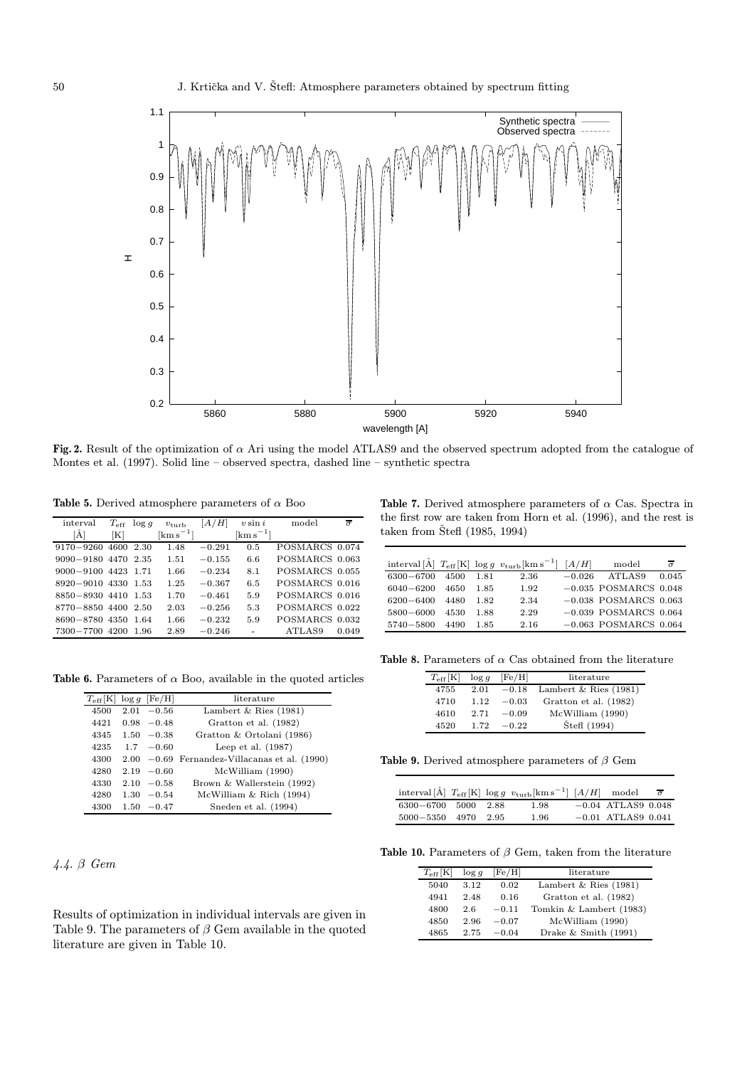

Fig. 2. Result of the optimization of  $\alpha$  Ari using the model ATLAS9 and the observed spectrum adopted from the catalogue of Montes et al. (1997). Solid line – observed spectra, dashed line – synthetic spectra

 ${\bf Table}$  5. Derived atmosphere parameters of  $\alpha$  Boo

| interval       | $T_{\rm eff}$ | $\log g$ | $v_{\text{turb}}$       | A/H      | $v \sin i$                     | model           | $\overline{\sigma}$ |
|----------------|---------------|----------|-------------------------|----------|--------------------------------|-----------------|---------------------|
| ΙA             | ſΚl           |          | $\mathrm{km \, s^{-1}}$ |          | $\mathrm{km}\,\mathrm{s}^{-1}$ |                 |                     |
| $9170 - 9260$  | 4600          | 2.30     | 1.48                    | $-0.291$ | 0.5                            | POSMARCS 0.074  |                     |
| $9090 - 9180$  | 4470          | 2.35     | 1.51                    | $-0.155$ | 6.6                            | POSMARCS 0.063  |                     |
| $9000 - 9100$  | 4423          | 1.71     | 1.66                    | $-0.234$ | 8.1                            | POSMARCS 0.055  |                     |
| 8920-9010 4330 |               | 1.53     | 1.25                    | $-0.367$ | 6.5                            | POSMARCS 0.016  |                     |
| 8850-8930 4410 |               | 1.53     | 1.70                    | $-0.461$ | 5.9                            | POSMARCS 0.016  |                     |
| 8770-8850 4400 |               | 2.50     | 2.03                    | $-0.256$ | 5.3                            | POSMARCS 0.022  |                     |
| 8690-8780      | 4350          | 1.64     | 1.66                    | $-0.232$ | 5.9                            | <b>POSMARCS</b> | 0.032               |
| 7300-7700      | 4200          | 1.96     | 2.89                    | $-0.246$ |                                | ATLAS9          | 0.049               |

Table 6. Parameters of  $\alpha$  Boo, available in the quoted articles

| $T_{\rm eff}$ [K] $\log g$ [Fe/H] |               | literature                         |
|-----------------------------------|---------------|------------------------------------|
| 4500                              | $2.01 - 0.56$ | Lambert & Ries $(1981)$            |
| 4421                              | $0.98 - 0.48$ | Gratton et al. (1982)              |
| 4345                              | $1.50 - 0.38$ | Gratton & Ortolani (1986)          |
| 4235                              | $1.7 - 0.60$  | Leep et al. $(1987)$               |
| 4300                              | $2.00 - 0.69$ | Fernandez-Villacanas et al. (1990) |
| 4280                              | $2.19 - 0.60$ | McWilliam (1990)                   |
| 4330                              | $2.10 - 0.58$ | Brown & Wallerstein (1992)         |
| 4280                              | $1.30 - 0.54$ | McWilliam & Rich (1994)            |
| 4300                              | $1.50 - 0.47$ | Sneden et al. (1994)               |

4.4. β Gem

Results of optimization in individual intervals are given in Table 9. The parameters of  $\beta$  Gem available in the quoted literature are given in Table 10.

Table 7. Derived atmosphere parameters of  $\alpha$  Cas. Spectra in the first row are taken from Horn et al. (1996), and the rest is taken from Štefl (1985, 1994)

|               |      |      | interval [Å] $T_{\rm eff}$ [K] $\log g \, v_{\rm turb}$ [km s <sup>-1</sup> ] [A/H] |          | model                     | $\overline{a}$ |
|---------------|------|------|-------------------------------------------------------------------------------------|----------|---------------------------|----------------|
| $6300 - 6700$ | 4500 | 1.81 | 2.36                                                                                | $-0.026$ | ATLAS9                    | 0.045          |
| $6040 - 6200$ | 4650 | 1.85 | 1.92                                                                                |          | $-0.035$ POSMARCS 0.048   |                |
| $6200 - 6400$ | 4480 | 1.82 | 2.34                                                                                |          | $-0.038$ POSMARCS 0.063   |                |
| 5800-6000     | 4530 | 1.88 | 2.29                                                                                |          | $-0.039$ POSMARCS $0.064$ |                |
| 5740-5800     | 4490 | 1.85 | 2.16                                                                                |          | $-0.063$ POSMARCS $0.064$ |                |

Table 8. Parameters of  $\alpha$  Cas obtained from the literature

| $T_{\rm eff}[\rm K]$ | $\log g$ | [Fe/H]  | literature              |
|----------------------|----------|---------|-------------------------|
| 4755                 | 2.01     | $-0.18$ | Lambert & Ries $(1981)$ |
| 4710                 | 1.12     | $-0.03$ | Gratton et al. (1982)   |
| 4610                 | 2.71     | $-0.09$ | McWilliam (1990)        |
| 4520                 | 1.72     | $-0.22$ | Štefi (1994)            |

Table 9. Derived atmosphere parameters of  $\beta$  Gem

|                       |  | interval [A] $T_{\text{eff}}$ [K] $\log g \ v_{\text{turb}}$ [km s <sup>-1</sup> ] [A/H] model $\overline{\sigma}$ |                      |  |
|-----------------------|--|--------------------------------------------------------------------------------------------------------------------|----------------------|--|
| 6300-6700 5000 2.88   |  | 1.98                                                                                                               | $-0.04$ ATLAS9 0.048 |  |
| 5000 - 5350 4970 2.95 |  | 1.96                                                                                                               | $-0.01$ ATLAS9 0.041 |  |

Table 10. Parameters of  $\beta$  Gem, taken from the literature

| $T_{\rm eff}[\rm K]$ | $\log g$ | $[{\rm Fe/H}]$ | literature              |
|----------------------|----------|----------------|-------------------------|
| 5040                 | 3.12     | 0.02           | Lambert & Ries $(1981)$ |
| 4941                 | 2.48     | 0.16           | Gratton et al. (1982)   |
| 4800                 | 2.6      | $-0.11$        | Tomkin & Lambert (1983) |
| 4850                 | 2.96     | $-0.07$        | McWilliam (1990)        |
| 4865                 | 2.75     | $-0.04$        | Drake $&$ Smith (1991)  |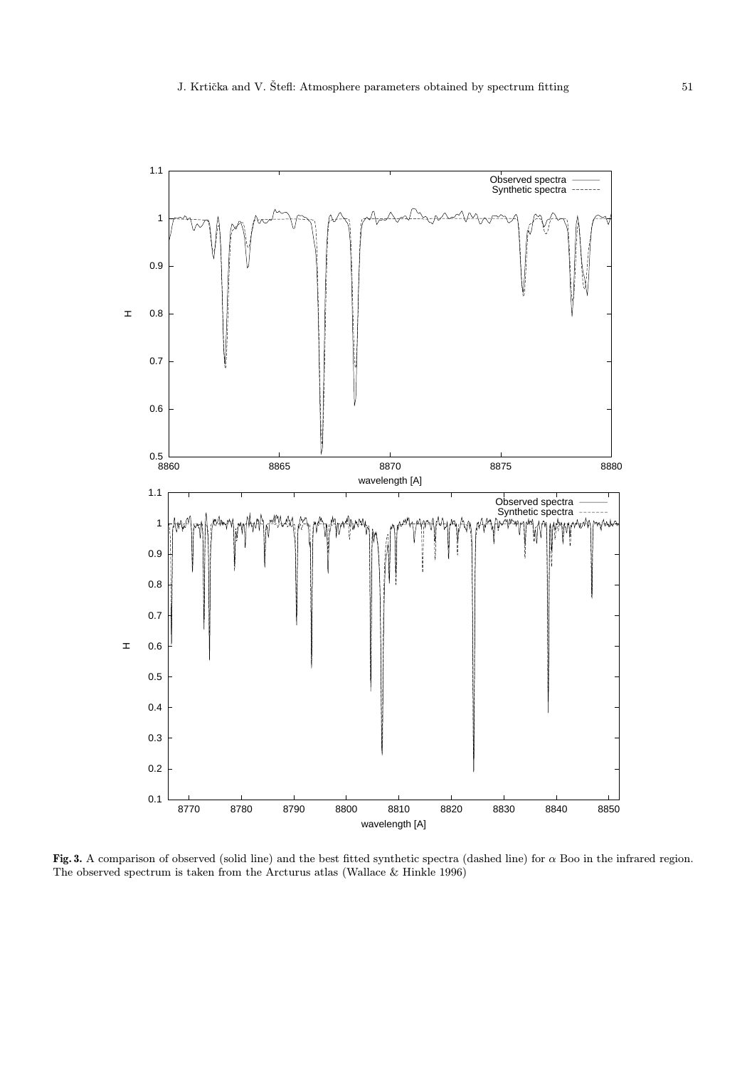

Fig. 3. A comparison of observed (solid line) and the best fitted synthetic spectra (dashed line) for  $\alpha$  Boo in the infrared region. The observed spectrum is taken from the Arcturus atlas (Wallace & Hinkle 1996)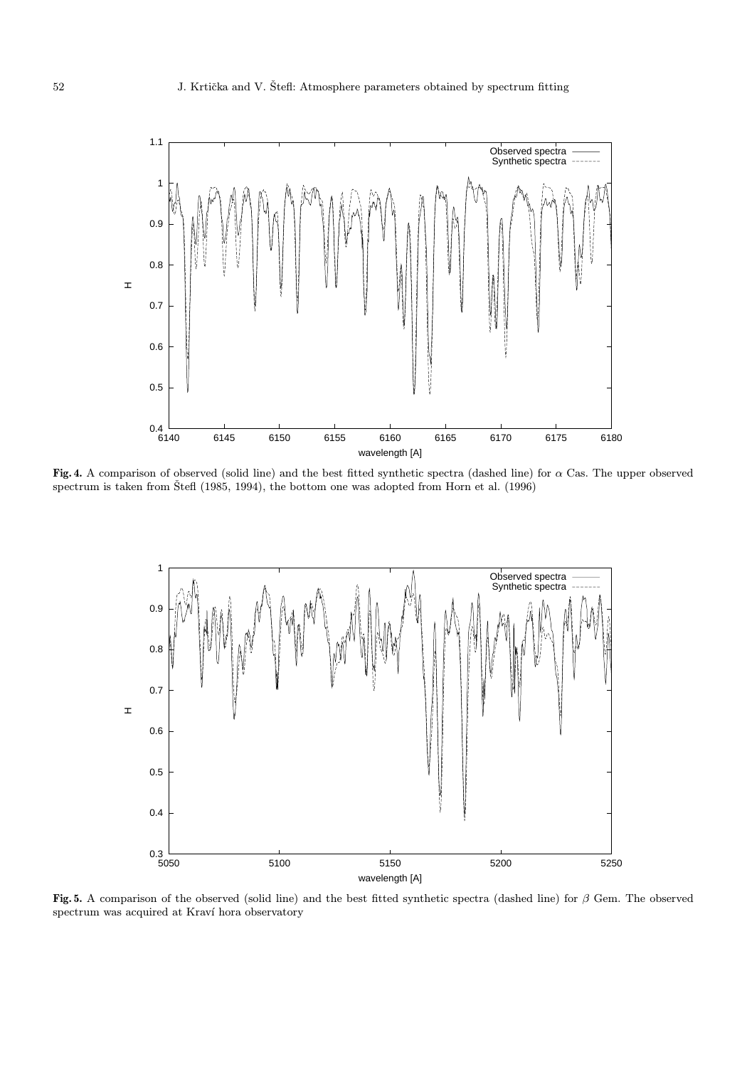

Fig. 4. A comparison of observed (solid line) and the best fitted synthetic spectra (dashed line) for  $\alpha$  Cas. The upper observed spectrum is taken from  $\text{\text{Stef}}$  (1985, 1994), the bottom one was adopted from Horn et al. (1996)



Fig. 5. A comparison of the observed (solid line) and the best fitted synthetic spectra (dashed line) for  $\beta$  Gem. The observed spectrum was acquired at Kraví hora observatory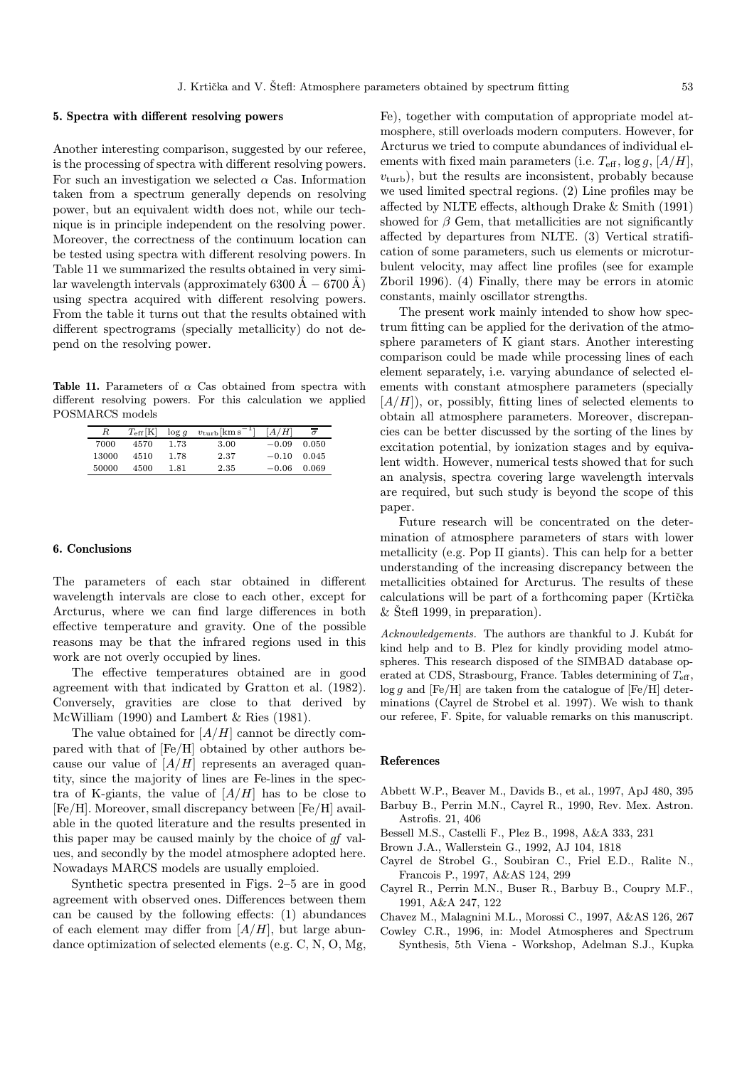#### 5. Spectra with different resolving powers

Another interesting comparison, suggested by our referee, is the processing of spectra with different resolving powers. For such an investigation we selected  $\alpha$  Cas. Information taken from a spectrum generally depends on resolving power, but an equivalent width does not, while our technique is in principle independent on the resolving power. Moreover, the correctness of the continuum location can be tested using spectra with different resolving powers. In Table 11 we summarized the results obtained in very similar wavelength intervals (approximately 6300  $\dot{A} - 6700 \dot{A}$ ) using spectra acquired with different resolving powers. From the table it turns out that the results obtained with different spectrograms (specially metallicity) do not depend on the resolving power.

Table 11. Parameters of  $\alpha$  Cas obtained from spectra with different resolving powers. For this calculation we applied POSMARCS models

| $R_{\parallel}$ | $T_{\rm eff}[\rm K]$ |      | $\log g$ $v_{\rm turb}$ [km s <sup>-1</sup> ] | [A/H]               | $\overline{\sigma}$ |
|-----------------|----------------------|------|-----------------------------------------------|---------------------|---------------------|
| 7000            | 4570                 | 1.73 | 3.00                                          | $-0.09$             | 0.050               |
| 13000           | 4510                 | 1.78 | 2.37                                          | $-0.10 \quad 0.045$ |                     |
| 50000           | 4500                 | 1.81 | 2.35                                          | $-0.06$             | 0.069               |

### 6. Conclusions

The parameters of each star obtained in different wavelength intervals are close to each other, except for Arcturus, where we can find large differences in both effective temperature and gravity. One of the possible reasons may be that the infrared regions used in this work are not overly occupied by lines.

The effective temperatures obtained are in good agreement with that indicated by Gratton et al. (1982). Conversely, gravities are close to that derived by McWilliam (1990) and Lambert & Ries (1981).

The value obtained for  $[A/H]$  cannot be directly compared with that of [Fe/H] obtained by other authors because our value of  $[A/H]$  represents an averaged quantity, since the majority of lines are Fe-lines in the spectra of K-giants, the value of  $[A/H]$  has to be close to [Fe/H]. Moreover, small discrepancy between [Fe/H] available in the quoted literature and the results presented in this paper may be caused mainly by the choice of gf values, and secondly by the model atmosphere adopted here. Nowadays MARCS models are usually emploied.

Synthetic spectra presented in Figs. 2–5 are in good agreement with observed ones. Differences between them can be caused by the following effects: (1) abundances of each element may differ from  $[A/H]$ , but large abundance optimization of selected elements (e.g. C, N, O, Mg, Fe), together with computation of appropriate model atmosphere, still overloads modern computers. However, for Arcturus we tried to compute abundances of individual elements with fixed main parameters (i.e.  $T_{\text{eff}}$ , log g, [A/H],  $v_{\text{turb}}$ , but the results are inconsistent, probably because we used limited spectral regions. (2) Line profiles may be affected by NLTE effects, although Drake & Smith (1991) showed for  $\beta$  Gem, that metallicities are not significantly affected by departures from NLTE. (3) Vertical stratification of some parameters, such us elements or microturbulent velocity, may affect line profiles (see for example Zboril 1996). (4) Finally, there may be errors in atomic constants, mainly oscillator strengths.

The present work mainly intended to show how spectrum fitting can be applied for the derivation of the atmosphere parameters of K giant stars. Another interesting comparison could be made while processing lines of each element separately, i.e. varying abundance of selected elements with constant atmosphere parameters (specially  $[A/H]$ , or, possibly, fitting lines of selected elements to obtain all atmosphere parameters. Moreover, discrepancies can be better discussed by the sorting of the lines by excitation potential, by ionization stages and by equivalent width. However, numerical tests showed that for such an analysis, spectra covering large wavelength intervals are required, but such study is beyond the scope of this paper.

Future research will be concentrated on the determination of atmosphere parameters of stars with lower metallicity (e.g. Pop II giants). This can help for a better understanding of the increasing discrepancy between the metallicities obtained for Arcturus. The results of these calculations will be part of a forthcoming paper (Krtička  $&$  Stefl 1999, in preparation).

Acknowledgements. The authors are thankful to J. Kubát for kind help and to B. Plez for kindly providing model atmospheres. This research disposed of the SIMBAD database operated at CDS, Strasbourg, France. Tables determining of  $T_{\text{eff}}$ ,  $\log q$  and [Fe/H] are taken from the catalogue of [Fe/H] determinations (Cayrel de Strobel et al. 1997). We wish to thank our referee, F. Spite, for valuable remarks on this manuscript.

# References

- Abbett W.P., Beaver M., Davids B., et al., 1997, ApJ 480, 395
- Barbuy B., Perrin M.N., Cayrel R., 1990, Rev. Mex. Astron. Astrofis. 21, 406
- Bessell M.S., Castelli F., Plez B., 1998, A&A 333, 231
- Brown J.A., Wallerstein G., 1992, AJ 104, 1818
- Cayrel de Strobel G., Soubiran C., Friel E.D., Ralite N., Francois P., 1997, A&AS 124, 299
- Cayrel R., Perrin M.N., Buser R., Barbuy B., Coupry M.F., 1991, A&A 247, 122
- Chavez M., Malagnini M.L., Morossi C., 1997, A&AS 126, 267
- Cowley C.R., 1996, in: Model Atmospheres and Spectrum Synthesis, 5th Viena - Workshop, Adelman S.J., Kupka